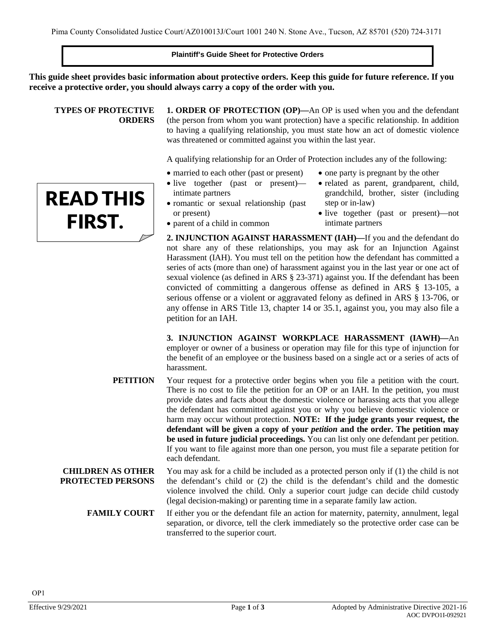#### **Plaintiff's Guide Sheet for Protective Orders**

**This guide sheet provides basic information about protective orders. Keep this guide for future reference. If you receive a protective order, you should always carry a copy of the order with you.**

#### **TYPES OF PROTECTIVE ORDERS**

READ THIS

FIRST.

**1. ORDER OF PROTECTION (OP)—**An OP is used when you and the defendant (the person from whom you want protection) have a specific relationship. In addition to having a qualifying relationship, you must state how an act of domestic violence was threatened or committed against you within the last year.

A qualifying relationship for an Order of Protection includes any of the following:

- married to each other (past or present) • one party is pregnant by the other
- live together (past or present) intimate partners
- romantic or sexual relationship (past or present) grandchild, brother, sister (including
	- step or in-law) • live together (past or present)—not intimate partners

• related as parent, grandparent, child,

- parent of a child in common
- **2. INJUNCTION AGAINST HARASSMENT (IAH)—**If you and the defendant do not share any of these relationships, you may ask for an Injunction Against Harassment (IAH). You must tell on the petition how the defendant has committed a series of acts (more than one) of harassment against you in the last year or one act of sexual violence (as defined in ARS § 23-371) against you. If the defendant has been convicted of committing a dangerous offense as defined in ARS § 13-105, a serious offense or a violent or aggravated felony as defined in ARS § 13-706, or any offense in ARS Title 13, chapter 14 or 35.1, against you, you may also file a petition for an IAH.

**3. INJUNCTION AGAINST WORKPLACE HARASSMENT (IAWH)—**An employer or owner of a business or operation may file for this type of injunction for the benefit of an employee or the business based on a single act or a series of acts of harassment.

- **PETITION** Your request for a protective order begins when you file a petition with the court. There is no cost to file the petition for an OP or an IAH. In the petition, you must provide dates and facts about the domestic violence or harassing acts that you allege the defendant has committed against you or why you believe domestic violence or harm may occur without protection. **NOTE: If the judge grants your request, the defendant will be given a copy of your** *petition* **and the order. The petition may be used in future judicial proceedings.** You can list only one defendant per petition. If you want to file against more than one person, you must file a separate petition for each defendant.
- **CHILDREN AS OTHER PROTECTED PERSONS** You may ask for a child be included as a protected person only if (1) the child is not the defendant's child or (2) the child is the defendant's child and the domestic violence involved the child. Only a superior court judge can decide child custody (legal decision-making) or parenting time in a separate family law action.
	- **FAMILY COURT** If either you or the defendant file an action for maternity, paternity, annulment, legal separation, or divorce, tell the clerk immediately so the protective order case can be transferred to the superior court.

OP1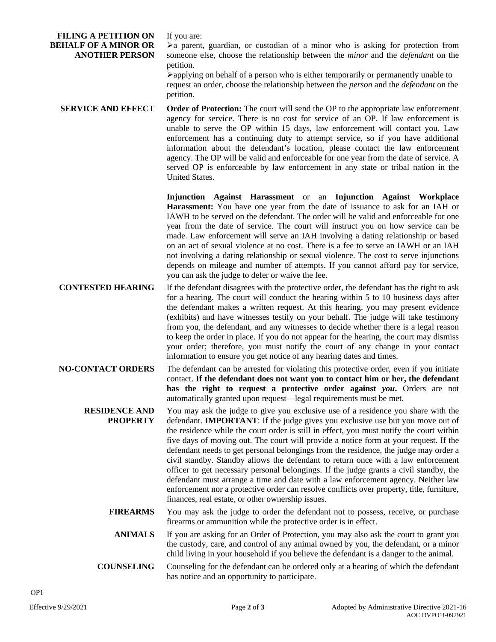#### **FILING A PETITION ON BEHALF OF A MINOR OR ANOTHER PERSON**

If you are:

 $\blacktriangleright$  a parent, guardian, or custodian of a minor who is asking for protection from someone else, choose the relationship between the *minor* and the *defendant* on the petition.

applying on behalf of a person who is either temporarily or permanently unable to request an order, choose the relationship between the *person* and the *defendant* on the petition.

**SERVICE AND EFFECT Order of Protection:** The court will send the OP to the appropriate law enforcement agency for service. There is no cost for service of an OP. If law enforcement is unable to serve the OP within 15 days, law enforcement will contact you. Law enforcement has a continuing duty to attempt service, so if you have additional information about the defendant's location, please contact the law enforcement agency. The OP will be valid and enforceable for one year from the date of service. A served OP is enforceable by law enforcement in any state or tribal nation in the United States.

> **Injunction Against Harassment** or an **Injunction Against Workplace Harassment:** You have one year from the date of issuance to ask for an IAH or IAWH to be served on the defendant. The order will be valid and enforceable for one year from the date of service. The court will instruct you on how service can be made. Law enforcement will serve an IAH involving a dating relationship or based on an act of sexual violence at no cost. There is a fee to serve an IAWH or an IAH not involving a dating relationship or sexual violence. The cost to serve injunctions depends on mileage and number of attempts. If you cannot afford pay for service, you can ask the judge to defer or waive the fee.

- **CONTESTED HEARING** If the defendant disagrees with the protective order, the defendant has the right to ask for a hearing. The court will conduct the hearing within 5 to 10 business days after the defendant makes a written request. At this hearing, you may present evidence (exhibits) and have witnesses testify on your behalf. The judge will take testimony from you, the defendant, and any witnesses to decide whether there is a legal reason to keep the order in place. If you do not appear for the hearing, the court may dismiss your order; therefore, you must notify the court of any change in your contact information to ensure you get notice of any hearing dates and times.
- **NO-CONTACT ORDERS** The defendant can be arrested for violating this protective order, even if you initiate contact. **If the defendant does not want you to contact him or her, the defendant has the right to request a protective order against** *you***.** Orders are not automatically granted upon request—legal requirements must be met.
	- **RESIDENCE AND PROPERTY** You may ask the judge to give you exclusive use of a residence you share with the defendant. **IMPORTANT**: If the judge gives you exclusive use but you move out of the residence while the court order is still in effect, you must notify the court within five days of moving out. The court will provide a notice form at your request. If the defendant needs to get personal belongings from the residence, the judge may order a civil standby. Standby allows the defendant to return once with a law enforcement officer to get necessary personal belongings. If the judge grants a civil standby, the defendant must arrange a time and date with a law enforcement agency. Neither law enforcement nor a protective order can resolve conflicts over property, title, furniture, finances, real estate, or other ownership issues.
		- **FIREARMS** You may ask the judge to order the defendant not to possess, receive, or purchase firearms or ammunition while the protective order is in effect.
			- **ANIMALS** If you are asking for an Order of Protection, you may also ask the court to grant you the custody, care, and control of any animal owned by you, the defendant, or a minor child living in your household if you believe the defendant is a danger to the animal.
		- **COUNSELING** Counseling for the defendant can be ordered only at a hearing of which the defendant has notice and an opportunity to participate.

OP1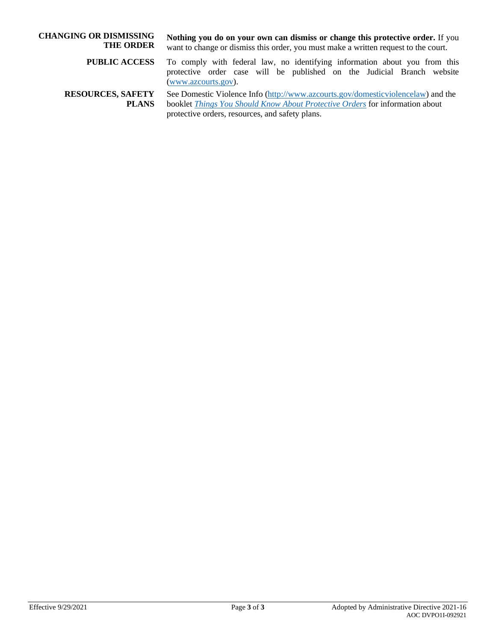| <b>CHANGING OR DISMISSING</b><br><b>THE ORDER</b> | Nothing you do on your own can dismiss or change this protective order. If you<br>want to change or dismiss this order, you must make a written request to the court.                                                 |  |  |  |
|---------------------------------------------------|-----------------------------------------------------------------------------------------------------------------------------------------------------------------------------------------------------------------------|--|--|--|
| <b>PUBLIC ACCESS</b>                              | To comply with federal law, no identifying information about you from this<br>protective order case will be published on the Judicial Branch website<br>(www.azcourts.gov).                                           |  |  |  |
| <b>RESOURCES, SAFETY</b><br><b>PLANS</b>          | See Domestic Violence Info (http://www.azcourts.gov/domestic violence law) and the<br>booklet Things You Should Know About Protective Orders for information about<br>protective orders, resources, and safety plans. |  |  |  |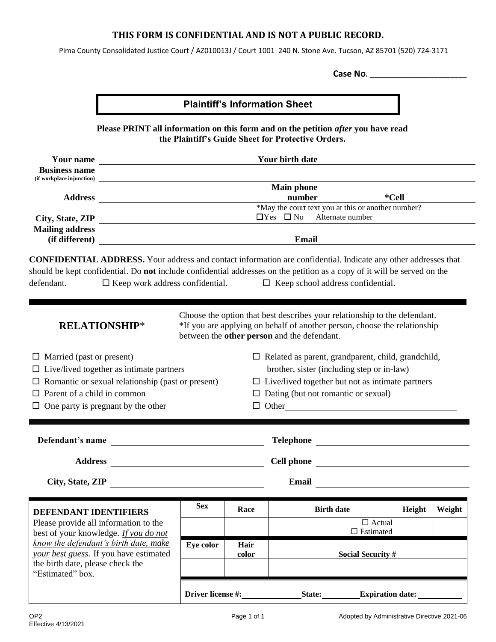### **THIS FORM IS CONFIDENTIAL AND IS NOT A PUBLIC RECORD.**

Pima County Consolidated Justice Court / AZ010013J / Court 1001 240 N. Stone Ave. Tucson, AZ 85701 (520) 724-3171

**Case No. \_\_\_\_\_\_\_\_\_\_\_\_\_\_\_\_\_\_\_\_\_\_\_\_**

# **Plaintiff's Information Sheet**

**Please PRINT all information on this form and on the petition** *after* **you have read the Plaintiff's Guide Sheet for Protective Orders.**

| <b>Your name</b><br><b>Business name</b>                                                                                                                                                                                                                                                                  |                                                           |      | Your birth date                                                                                                                                                                                                                  |        |        |
|-----------------------------------------------------------------------------------------------------------------------------------------------------------------------------------------------------------------------------------------------------------------------------------------------------------|-----------------------------------------------------------|------|----------------------------------------------------------------------------------------------------------------------------------------------------------------------------------------------------------------------------------|--------|--------|
| (if workplace injunction)                                                                                                                                                                                                                                                                                 | <b>Main phone</b>                                         |      |                                                                                                                                                                                                                                  |        |        |
| <b>Address</b>                                                                                                                                                                                                                                                                                            |                                                           |      | number<br>*Cell                                                                                                                                                                                                                  |        |        |
| City, State, ZIP                                                                                                                                                                                                                                                                                          | <u> 1989 - Johann Barnett, fransk politiker (d. 1989)</u> |      | *May the court text you at this or another number?<br>$\Box$ Yes $\Box$ No<br>Alternate number                                                                                                                                   |        |        |
| <b>Mailing address</b><br>(if different)                                                                                                                                                                                                                                                                  | <b>Email</b>                                              |      |                                                                                                                                                                                                                                  |        |        |
| <b>CONFIDENTIAL ADDRESS.</b> Your address and contact information are confidential. Indicate any other addresses that<br>should be kept confidential. Do not include confidential addresses on the petition as a copy of it will be served on the<br>$\Box$ Keep work address confidential.<br>defendant. |                                                           |      | $\Box$ Keep school address confidential.                                                                                                                                                                                         |        |        |
| <b>RELATIONSHIP*</b>                                                                                                                                                                                                                                                                                      |                                                           |      | Choose the option that best describes your relationship to the defendant.<br>*If you are applying on behalf of another person, choose the relationship<br>between the other person and the defendant.                            |        |        |
| $\Box$ Married (past or present)<br>$\Box$ Live/lived together as intimate partners<br>Romantic or sexual relationship (past or present)<br>Parent of a child in common<br>$\Box$ One party is pregnant by the other                                                                                      |                                                           |      | $\Box$ Related as parent, grandparent, child, grandchild,<br>brother, sister (including step or in-law)<br>$\Box$ Live/lived together but not as intimate partners<br>$\Box$ Dating (but not romantic or sexual)<br>$\Box$ Other |        |        |
| Defendant's name<br><u> 1980 - Jan Stein, amerikan besteman besteman besteman besteman besteman besteman besteman besteman besteman b</u>                                                                                                                                                                 |                                                           |      |                                                                                                                                                                                                                                  |        |        |
| <b>Address</b>                                                                                                                                                                                                                                                                                            |                                                           |      |                                                                                                                                                                                                                                  |        |        |
| City, State, ZIP                                                                                                                                                                                                                                                                                          |                                                           |      | Email                                                                                                                                                                                                                            |        |        |
| DEFENDANT IDENTIFIERS                                                                                                                                                                                                                                                                                     | <b>Sex</b>                                                | Race | <b>Birth date</b>                                                                                                                                                                                                                | Height | Weight |
| Please provide all information to the<br>best of your knowledge. If you do not                                                                                                                                                                                                                            |                                                           |      | $\overline{\Box}$ Actual<br>$\Box$<br><br>Estimated                                                                                                                                                                              |        |        |
| know the defendant's birth date, make<br>Eye color<br><b>Hair</b><br>your best guess. If you have estimated<br><b>Social Security #</b><br>color                                                                                                                                                          |                                                           |      |                                                                                                                                                                                                                                  |        |        |
| the birth date, please check the<br>"Estimated" box.                                                                                                                                                                                                                                                      |                                                           |      |                                                                                                                                                                                                                                  |        |        |
|                                                                                                                                                                                                                                                                                                           | Driver license #:                                         |      | State:<br><b>Expiration date:</b>                                                                                                                                                                                                |        |        |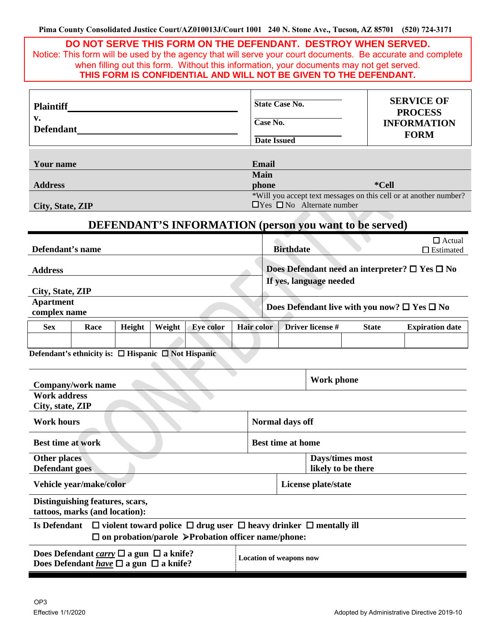|                                                                   |                                                                                                                                                                             |        |        | DO NOT SERVE THIS FORM ON THE DEFENDANT. DESTROY WHEN SERVED.<br>when filling out this form. Without this information, your documents may not get served.<br>THIS FORM IS CONFIDENTIAL AND WILL NOT BE GIVEN TO THE DEFENDANT. |  |                                                                                           |                                |                                                                          |  |  | Notice: This form will be used by the agency that will serve your court documents. Be accurate and complete |
|-------------------------------------------------------------------|-----------------------------------------------------------------------------------------------------------------------------------------------------------------------------|--------|--------|--------------------------------------------------------------------------------------------------------------------------------------------------------------------------------------------------------------------------------|--|-------------------------------------------------------------------------------------------|--------------------------------|--------------------------------------------------------------------------|--|--|-------------------------------------------------------------------------------------------------------------|
| <b>Plaintiff</b><br>v.<br><b>Defendant</b>                        |                                                                                                                                                                             |        |        | <b>State Case No.</b><br>Case No.<br><b>Date Issued</b>                                                                                                                                                                        |  |                                                                                           |                                | <b>SERVICE OF</b><br><b>PROCESS</b><br><b>INFORMATION</b><br><b>FORM</b> |  |  |                                                                                                             |
| Your name<br><b>Address</b>                                       |                                                                                                                                                                             |        |        | Email<br>Main<br>*Cell<br>phone<br>*Will you accept text messages on this cell or at another number?                                                                                                                           |  |                                                                                           |                                |                                                                          |  |  |                                                                                                             |
| City, State, ZIP                                                  |                                                                                                                                                                             |        |        | <b>DEFENDANT'S INFORMATION (person you want to be served)</b>                                                                                                                                                                  |  |                                                                                           |                                | $\Box$ Yes $\Box$ No Alternate number                                    |  |  |                                                                                                             |
| Defendant's name                                                  |                                                                                                                                                                             |        |        |                                                                                                                                                                                                                                |  |                                                                                           | <b>Birthdate</b>               |                                                                          |  |  | $\Box$ Actual<br>$\Box$ Estimated                                                                           |
| <b>Address</b>                                                    |                                                                                                                                                                             |        |        |                                                                                                                                                                                                                                |  | Does Defendant need an interpreter? $\square$ Yes $\square$ No<br>If yes, language needed |                                |                                                                          |  |  |                                                                                                             |
| City, State, ZIP<br><b>Apartment</b><br>complex name              |                                                                                                                                                                             |        |        | Does Defendant live with you now? $\square$ Yes $\square$ No                                                                                                                                                                   |  |                                                                                           |                                |                                                                          |  |  |                                                                                                             |
| <b>Sex</b>                                                        | Race                                                                                                                                                                        | Height | Weight | <b>Eye color</b>                                                                                                                                                                                                               |  | <b>Hair color</b><br>Driver license #<br><b>State</b>                                     |                                | <b>Expiration date</b>                                                   |  |  |                                                                                                             |
|                                                                   |                                                                                                                                                                             |        |        |                                                                                                                                                                                                                                |  |                                                                                           |                                |                                                                          |  |  |                                                                                                             |
|                                                                   | Defendant's ethnicity is: $\Box$ Hispanic $\Box$ Not Hispanic                                                                                                               |        |        |                                                                                                                                                                                                                                |  |                                                                                           |                                |                                                                          |  |  |                                                                                                             |
| <b>Company/work name</b>                                          |                                                                                                                                                                             |        |        |                                                                                                                                                                                                                                |  | Work phone                                                                                |                                |                                                                          |  |  |                                                                                                             |
| <b>Work address</b><br>City, state, ZIP                           |                                                                                                                                                                             |        |        |                                                                                                                                                                                                                                |  |                                                                                           |                                |                                                                          |  |  |                                                                                                             |
|                                                                   | <b>Work hours</b><br>Normal days off                                                                                                                                        |        |        |                                                                                                                                                                                                                                |  |                                                                                           |                                |                                                                          |  |  |                                                                                                             |
| <b>Best time at work</b><br><b>Best time at home</b>              |                                                                                                                                                                             |        |        |                                                                                                                                                                                                                                |  |                                                                                           |                                |                                                                          |  |  |                                                                                                             |
| <b>Other places</b><br><b>Defendant goes</b>                      |                                                                                                                                                                             |        |        | Days/times most<br>likely to be there                                                                                                                                                                                          |  |                                                                                           |                                |                                                                          |  |  |                                                                                                             |
| Vehicle year/make/color                                           |                                                                                                                                                                             |        |        | License plate/state                                                                                                                                                                                                            |  |                                                                                           |                                |                                                                          |  |  |                                                                                                             |
| Distinguishing features, scars,<br>tattoos, marks (and location): |                                                                                                                                                                             |        |        |                                                                                                                                                                                                                                |  |                                                                                           |                                |                                                                          |  |  |                                                                                                             |
|                                                                   | <b>Is Defendant</b><br>$\Box$ violent toward police $\Box$ drug user $\Box$ heavy drinker $\Box$ mentally ill<br>$\Box$ on probation/parole > Probation officer name/phone: |        |        |                                                                                                                                                                                                                                |  |                                                                                           |                                |                                                                          |  |  |                                                                                                             |
|                                                                   | Does Defendant <i>carry</i> $\Box$ a gun $\Box$ a knife?<br>Does Defendant <u>have</u> $\square$ a gun $\square$ a knife?                                                   |        |        |                                                                                                                                                                                                                                |  |                                                                                           | <b>Location of weapons now</b> |                                                                          |  |  |                                                                                                             |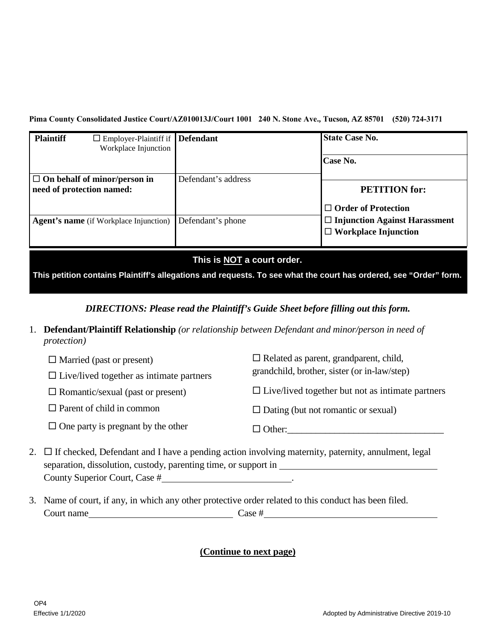**Pima County Consolidated Justice Court/AZ010013J/Court 1001 240 N. Stone Ave., Tucson, AZ 85701 (520) 724-3171**

| <b>Plaintiff</b><br>$\Box$ Employer-Plaintiff if <b>Defendant</b><br>Workplace Injunction |                     | <b>State Case No.</b>                |
|-------------------------------------------------------------------------------------------|---------------------|--------------------------------------|
|                                                                                           |                     | Case No.                             |
| $\Box$ On behalf of minor/person in                                                       | Defendant's address |                                      |
| need of protection named:                                                                 |                     | <b>PETITION</b> for:                 |
|                                                                                           |                     | $\Box$ Order of Protection           |
| <b>Agent's name</b> (if Workplace Injunction)                                             | Defendant's phone   | $\Box$ Injunction Against Harassment |
|                                                                                           |                     | $\Box$ Workplace Injunction          |

**This is NOT a court order.**

**This petition contains Plaintiff's allegations and requests. To see what the court has ordered, see "Order" form.**

*DIRECTIONS: Please read the Plaintiff's Guide Sheet before filling out this form.*

1. **Defendant/Plaintiff Relationship** *(or relationship between Defendant and minor/person in need of protection)*

| $\Box$ Married (past or present)                | $\Box$ Related as parent, grandparent, child,           |
|-------------------------------------------------|---------------------------------------------------------|
| $\Box$ Live/lived together as intimate partners | grandchild, brother, sister (or in-law/step)            |
| $\Box$ Romantic/sexual (past or present)        | $\Box$ Live/lived together but not as intimate partners |
| $\Box$ Parent of child in common                | $\Box$ Dating (but not romantic or sexual)              |
| $\Box$ One party is pregnant by the other       | $\Box$ Other:                                           |

- 2.  $\Box$  If checked, Defendant and I have a pending action involving maternity, paternity, annulment, legal separation, dissolution, custody, parenting time, or support in County Superior Court, Case # .
- 3. Name of court, if any, in which any other protective order related to this conduct has been filed. Court name Case #

## **(Continue to next page)**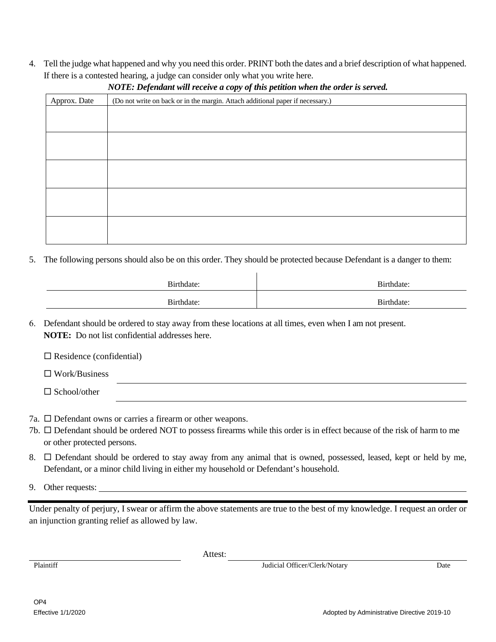4. Tell the judge what happened and why you need this order. PRINT both the dates and a brief description of what happened. If there is a contested hearing, a judge can consider only what you write here.

| Approx. Date | (Do not write on back or in the margin. Attach additional paper if necessary.) |
|--------------|--------------------------------------------------------------------------------|
|              |                                                                                |
|              |                                                                                |
|              |                                                                                |
|              |                                                                                |
|              |                                                                                |
|              |                                                                                |
|              |                                                                                |
|              |                                                                                |
|              |                                                                                |
|              |                                                                                |

### *NOTE: Defendant will receive a copy of this petition when the order is served.*

5. The following persons should also be on this order. They should be protected because Defendant is a danger to them:

| Birthdate: | Birthdate: |
|------------|------------|
| Birthdate: | Birthdate: |

6. Defendant should be ordered to stay away from these locations at all times, even when I am not present. **NOTE:** Do not list confidential addresses here.

| $\Box$ Residence (confidential) |  |  |  |
|---------------------------------|--|--|--|
| $\Box$ Work/Business            |  |  |  |
| $\Box$ School/other             |  |  |  |
|                                 |  |  |  |

- 7a.  $\square$  Defendant owns or carries a firearm or other weapons.
- 7b. Defendant should be ordered NOT to possess firearms while this order is in effect because of the risk of harm to me or other protected persons.
- 8.  $\Box$  Defendant should be ordered to stay away from any animal that is owned, possessed, leased, kept or held by me, Defendant, or a minor child living in either my household or Defendant's household.
- 9. Other requests:

Under penalty of perjury, I swear or affirm the above statements are true to the best of my knowledge. I request an order or an injunction granting relief as allowed by law.

Attest:

Plaintiff Judicial Officer/Clerk/Notary Date